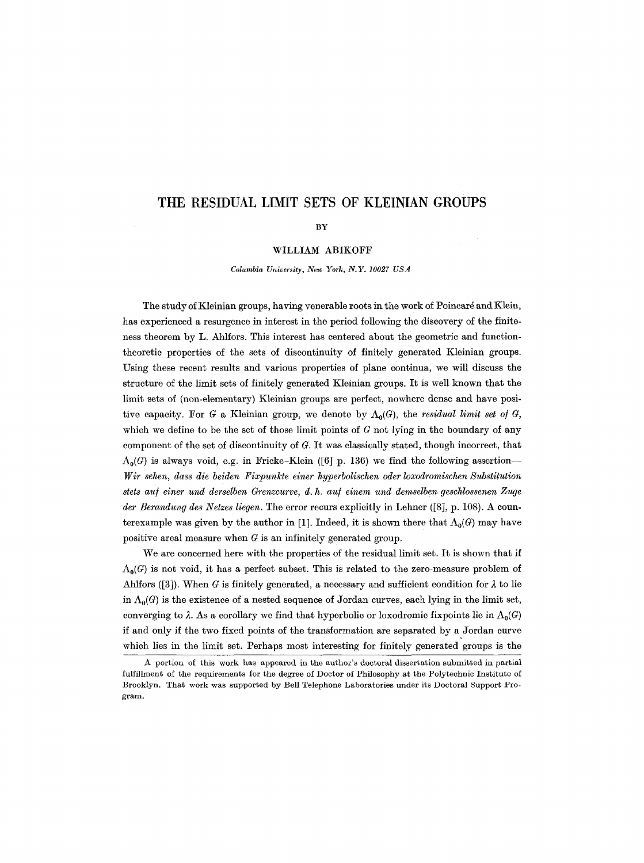# **THE RESIDUAL LIMIT SETS OF KLEINIAN GROUPS**

BY

#### WILLIAM ABIKOFF

*Columbia University, New York, N.Y. 10027 USA* 

The study of Kleinian groups, having venerable roots in the work of Poincaré and Klein, has experienced a resurgence in interest in the period following the discovery of the finiteness theorem by L. Ahlfors. This interest has centered about the geometric and functiontheoretic properties of the sets of discontinuity of finitely generated Kleinian groups. Using these recent results and various properties of plane continua, we will discuss the structure of the limit sets of finitely generated Kleinian groups. It is well known that the limit sets of (non-elementary) Kleinian groups are perfect, nowhere dense and have positive capacity. For G a Kleinian group, we denote by  $\Lambda_0(G)$ , the *residual limit set of G*, which we define to be the set of those limit points of  $G$  not lying in the boundary of any component of the set of discontinuity of G. It was classically stated, though incorrect, that  $\Lambda_0(G)$  is always void, e.g. in Fricke-Klein ([6] p. 136) we find the following assertion--*Wir sehen, dass die beiden Fixpunkte einer hyperbolischen oder loxodromischen Substitution*  stets auf einer und derselben Grenzcurve, d. h. auf einem und demselben geschlossenen Zuge *der Berandung des Netzes liegen.* The error recurs explicitly in Lehner ([8], p. 108). A counterexample was given by the author in [1]. Indeed, it is shown there that  $\Lambda_0(G)$  may have positive areal measure when  $G$  is an infinitely generated group.

We are concerned here with the properties of the residual limit set. It is shown that if  $\Lambda_0(G)$  is not void, it has a perfect subset. This is related to the zero-measure problem of Ahlfors ([3]). When G is finitely generated, a necessary and sufficient condition for  $\lambda$  to lie in  $\Lambda_0(G)$  is the existence of a nested sequence of Jordan curves, each lying in the limit set, converging to  $\lambda$ . As a corollary we find that hyperbolic or loxodromic fixpoints lie in  $\Lambda_0(G)$ if and only if the two fixed points of the transformation are separated by a Jordan curve which lies in the limit set. Perhaps most interesting for finitely generated groups is the

A portion of this work has appeared in the author's doctoral dissertation submitted in partial fulfillment of the requirements for the degree of Doctor of Philosophy at the Polytechnic Institute of Brooklyn. That work was supported by Bell Telephone Laboratories under its Doctoral Support Program.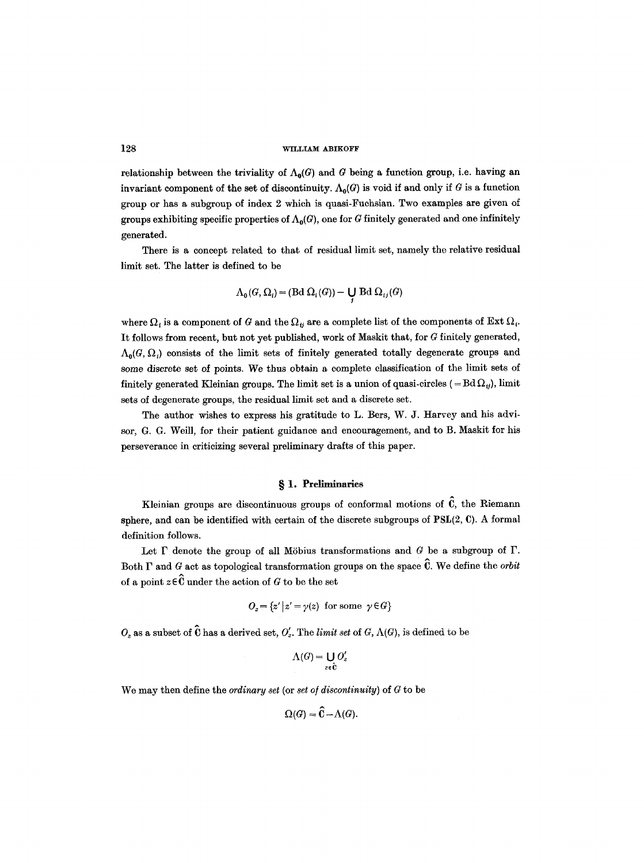relationship between the triviality of  $\Lambda_0(G)$  and G being a function group, i.e. having an invariant component of the set of discontinuity.  $\Lambda_0(G)$  is void if and only if G is a function group or has a subgroup of index 2 which is quasi-Fuehsian. Two examples are given of groups exhibiting specific properties of  $\Lambda_0(G)$ , one for G finitely generated and one infinitely generated.

There is a concept related to that of residual limit set, namely the relative residual limit set. The latter is defined to be

$$
\Lambda_0(G, \Omega_i) = (\text{Bd }\Omega_i(G)) - \bigcup_j \text{Bd }\Omega_{ij}(G)
$$

where  $\Omega_i$  is a component of G and the  $\Omega_i$  are a complete list of the components of Ext  $\Omega_i$ . It follows from recent, but not yet published, work of Maskit that, for G finitely generated,  $\Lambda_0(G, \Omega_i)$  consists of the limit sets of finitely generated totally degenerate groups and some discrete set of points. We thus obtain a complete classification of the limit sets of finitely generated Kleinian groups. The limit set is a union of quasi-circles (=Bd $\Omega<sub>t</sub>$ ), limit sets of degenerate groups, the residual limit set and a discrete set.

The author wishes to express his gratitude to L. Bers, W. J. Harvey and his advisor, G. G. Weill, for their patient guidance and encouragement, and to B. Maskit for his perseverance in criticizing several preliminary drafts of this paper.

# **w 1. Preliminaries**

Kleinian groups are discontinuous groups of conformal motions of  $\hat{C}$ , the Riemann sphere, and can be identified with certain of the discrete subgroups of PSL(2, C). A formal definition follows.

Let  $\Gamma$  denote the group of all Möbius transformations and  $G$  be a subgroup of  $\Gamma$ . Both  $\Gamma$  and G act as topological transformation groups on the space  $\hat{\mathbb{C}}$ . We define the *orbit* of a point  $z \in \hat{C}$  under the action of G to be the set

$$
O_z = \{z' | z' = \gamma(z) \text{ for some } \gamma \in G\}
$$

 $O_z$  as a subset of  $\hat{\mathbf{C}}$  has a derived set,  $O'_z$ . The *limit set* of  $G$ ,  $\Lambda(G)$ , is defined to be

$$
\Lambda(G) = \bigcup_{z \in \hat{\mathbf{C}}} O'_z
$$

We may then define the *ordinary set* (or *set o/ discontinuity)* of G to be

$$
\Omega(G) = \widehat{C} - \Lambda(G).
$$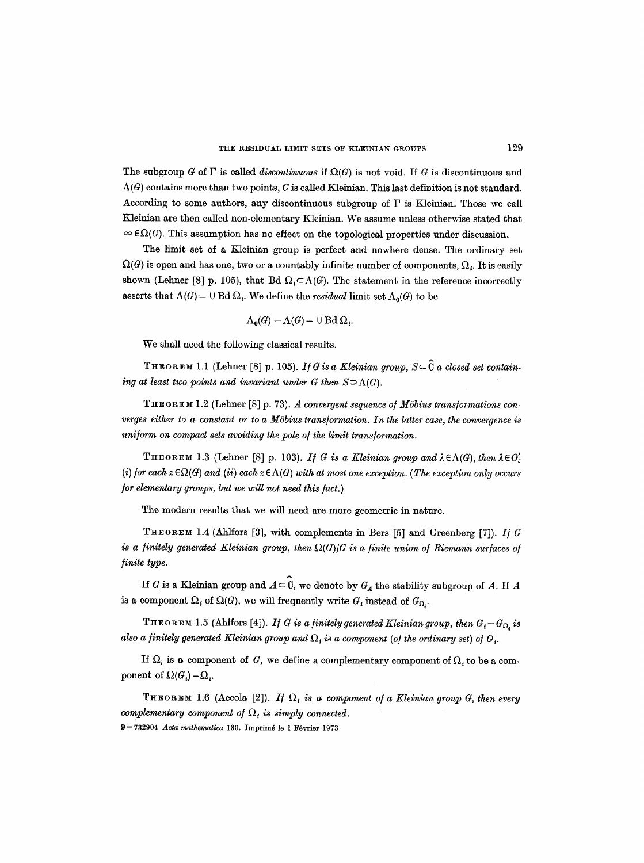The subgroup G of  $\Gamma$  is called *discontinuous* if  $\Omega(G)$  is not void. If G is discontinuous and  $\Lambda(G)$  contains more than two points, G is called Kleinian. This last definition is not standard. According to some authors, any discontinuous subgroup of  $\Gamma$  is Kleinian. Those we call Kleinian are then called non-elementary Kleinian. We assume unless otherwise stated that  $\infty$   $\epsilon\Omega(G)$ . This assumption has no effect on the topological properties under discussion.

The limit set of a Kleinian group is perfect and nowhere dense. The ordinary set  $\Omega(G)$  is open and has one, two or a countably infinite number of components,  $\Omega_i$ . It is easily shown (Lehner [8] p. 105), that Bd  $\Omega_i \subset \Lambda(G)$ . The statement in the reference incorrectly asserts that  $\Lambda(G) = \cup \text{Bd } \Omega_i$ . We define the *residual* limit set  $\Lambda_0(G)$  to be

$$
\Lambda_0(G) = \Lambda(G) - \cup \text{Bd } \Omega_i.
$$

We shall need the following classical results.

**THEOREM 1.1** (Lehner [8] p. 105). If G is a Kleinian group,  $S \subseteq \hat{\mathbf{C}}$  a closed set contain*ing at least two points and invariant under G then*  $S \supset \Lambda(G)$ .

THEOREM 1.2 (Lehner [8] p. 73). *A convergent sequence o/M6bius trans/ormations converges either to a constant or to a MSbius trans/ormation. In the latter case, the convergence is uniform on compact sets avoiding the pole of the limit transformation.* 

**THEOREM** 1.3 (Lehner [8] p. 103). *If* G is a Kleinian group and  $\lambda \in \Lambda(G)$ , then  $\lambda \in O'_z$  $(i)$  for each  $z \in \Omega(G)$  and  $(ii)$  each  $z \in \Lambda(G)$  with at most one exception. (The exception only occurs */or elementary groups, but we will not need this/act.)* 

The modern results that we will need are more geometric in nature.

THeOReM 1.4 (Ahlfors [3], with complements in Bers [5] and Greenberg [7]). *I] G is a finitely generated Kleinian group, then*  $\Omega(G)/G$  is a finite union of Riemann surfaces of */inite type.* 

If G is a Kleinian group and  $A \subset \mathbb{C}$ , we denote by  $G_A$  the stability subgroup of A. If A is a component  $\Omega_i$  of  $\Omega(G)$ , we will frequently write  $G_i$  instead of  $G_{\Omega_i}$ .

**THEOREM** 1.5 (Ahlfors [4]). *If G is a finitely generated Kleinian group, then*  $G_i = G_{\Omega_i}$  is also a finitely generated Kleinian group and  $\Omega_i$  is a component (of the ordinary set) of  $G_i$ .

If  $\Omega_i$  is a component of G, we define a complementary component of  $\Omega_i$  to be a component of  $\Omega(G_i) - \Omega_i$ .

**THEOREM 1.6 (Accola [2]).** *If*  $\Omega_t$  is a component of a Kleinian group G, then every *complementary component of*  $\Omega_i$  *is simply connected.* 9-- 732904 *Acta mathematica* 130. Imprim6 le 1 F6vrier 1973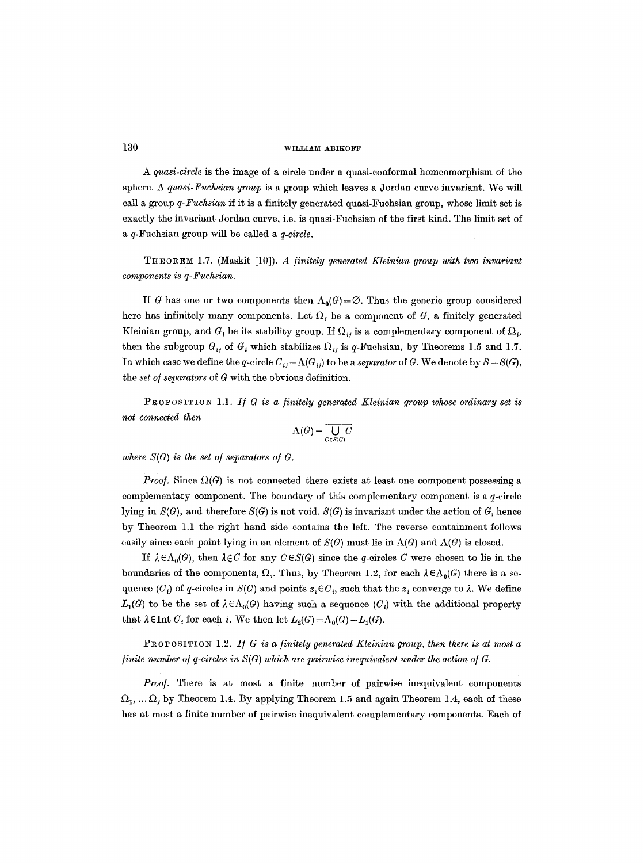*A quasi-circle* is the image of a circle under a quasi-conformal homeomorphism of the sphere. A *quasi-Fuchsian group* is a group which leaves a Jordan curve invariant. We will call a group *q-Fuchsian* if it is a finitely generated quasi-Fuehsian group, whose limit set is exactly the invariant Jordan curve, i.e. is quasi-Fuchsian of the first kind. The limit set of a q-Fuchsian group will be called a *q-circle.* 

THEOREM 1.7. (Maskit [10]). *A /initely generated Kleinian group with two invariant components is q-Fuchsian.* 

If G has one or two components then  $\Lambda_0(G) = \emptyset$ . Thus the generic group considered here has infinitely many components. Let  $\Omega$ , be a component of G, a finitely generated Kleinian group, and  $G<sub>i</sub>$  be its stability group. If  $\Omega<sub>i</sub>$  is a complementary component of  $\Omega<sub>i</sub>$ , then the subgroup  $G_{ij}$  of  $G_i$  which stabilizes  $\Omega_{ij}$  is q-Fuehsian, by Theorems 1.5 and 1.7. In which case we define the q-circle  $C_{ij} = \Lambda(G_{ij})$  to be a *separator* of G. We denote by  $S = S(G)$ , the *set o/separators* of G with the obvious definition.

PROPOSITION 1.1. If G is a finitely generated Kleinian group whose ordinary set is *not connected then* 

$$
\Lambda(G) = \overline{\bigcup_{C \in S(G)} C}
$$

*where*  $S(G)$  *is the set of separators of G.* 

*Proof.* Since  $\Omega(G)$  is not connected there exists at least one component possessing a complementary component. The boundary of this complementary component is a  $q$ -circle lying in  $S(G)$ , and therefore  $S(G)$  is not void.  $S(G)$  is invariant under the action of G, hence by Theorem 1.1 the right hand side contains the left. The reverse containment follows easily since each point lying in an element of  $S(G)$  must lie in  $\Lambda(G)$  and  $\Lambda(G)$  is closed.

If  $\lambda \in \Lambda_0(G)$ , then  $\lambda \notin C$  for any  $C \in S(G)$  since the q-circles C were chosen to lie in the boundaries of the components,  $\Omega_i$ . Thus, by Theorem 1.2, for each  $\lambda \in \Lambda_0(G)$  there is a sequence  $(C_i)$  of q-circles in  $S(G)$  and points  $z_i \in C_i$ , such that the  $z_i$  converge to  $\lambda$ . We define  $L_1(G)$  to be the set of  $\lambda \in \Lambda_0(G)$  having such a sequence  $(C_i)$  with the additional property that  $\lambda \in$ Int  $C_i$  for each i. We then let  $L_2(G) = \Lambda_0(G) - L_1(G)$ .

PROPOSITION 1.2. If G is a finitely generated Kleinian group, then there is at most a *finite number of q-circles in*  $S(G)$  which are pairwise inequivalent under the action of  $G$ .

*Proof.* There is at most a finite number of pairwise inequivalent components  $\Omega_1, \ldots \Omega_j$  by Theorem 1.4. By applying Theorem 1.5 and again Theorem 1.4, each of these has at most a finite number of pairwise inequivalent complementary components. Each of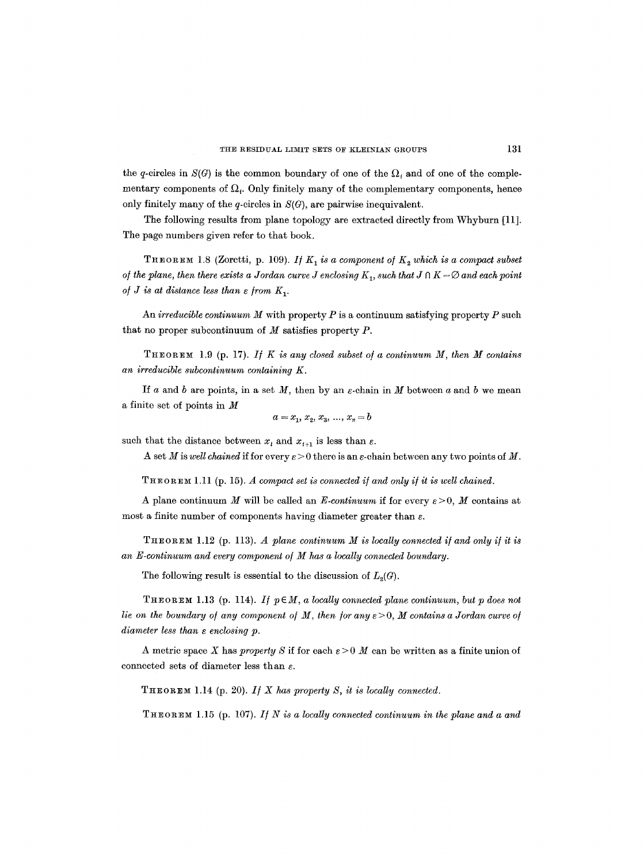the q-circles in  $S(G)$  is the common boundary of one of the  $\Omega_i$  and of one of the complementary components of  $\Omega_t$ . Only finitely many of the complementary components, hence only finitely many of the q-circles in  $S(G)$ , are pairwise inequivalent.

The following results from plane topology are extracted directly from Whyburn [11]. The page numbers given refer to that book.

THEOREM 1.8 (Zoretti, p. 109). *If*  $K_1$  *is a component of*  $K_2$  which is a compact subset *of the plane, then there exists a Jordan curve J enclosing*  $K_1$ *, such that*  $J \cap K = \emptyset$  and each point *of J is at distance less than*  $\varepsilon$  *from*  $K_1$ .

An *irreducible continuum M* with property  $P$  is a continuum satisfying property  $P$  such that no proper subcontinuum of  $M$  satisfies property  $P$ .

THEOREm 1.9 (p. 17). *I/ K is any closed subset o/a continuum M, then M contains an irreducible subcontinuum containing K.* 

If a and b are points, in a set  $M$ , then by an  $\varepsilon$ -chain in  $M$  between a and b we mean a finite set of points in M

$$
a = x_1, x_2, x_3, ..., x_n = b
$$

such that the distance between  $x_i$  and  $x_{i+1}$  is less than  $\varepsilon$ .

A set M is *well chained* if for every  $\varepsilon > 0$  there is an  $\varepsilon$ -chain between any two points of M.

THEOREM 1.11 (p. 15). *A compact set is connected if and only if it is well chained.* 

A plane continuum M will be called an *E-continuum* if for every  $\varepsilon > 0$ , M contains at most a finite number of components having diameter greater than  $\varepsilon$ .

THEOREM 1.12 (p. 113). *A plane continuum M is locally connected i/and only i/it is*  an *E*-continuum and every component of *M* has a locally connected boundary.

The following result is essential to the discussion of  $L_2(G)$ .

THEOREM 1.13 (p. 114). If  $p \in M$ , a locally connected plane continuum, but p does not *lie on the boundary of any component of M, then for any*  $\epsilon > 0$ *, M contains a Jordan curve of diameter less than s enclosing p.* 

A metric space X has *property* S if for each  $\varepsilon > 0$  M can be written as a finite union of connected sets of diameter less than  $\varepsilon$ .

 $THEOREM 1.14$  (p. 20). *If X has property S, it is locally connected.* 

THEOREM 1.15 (p. 107). *If N* is a locally connected continuum in the plane and a and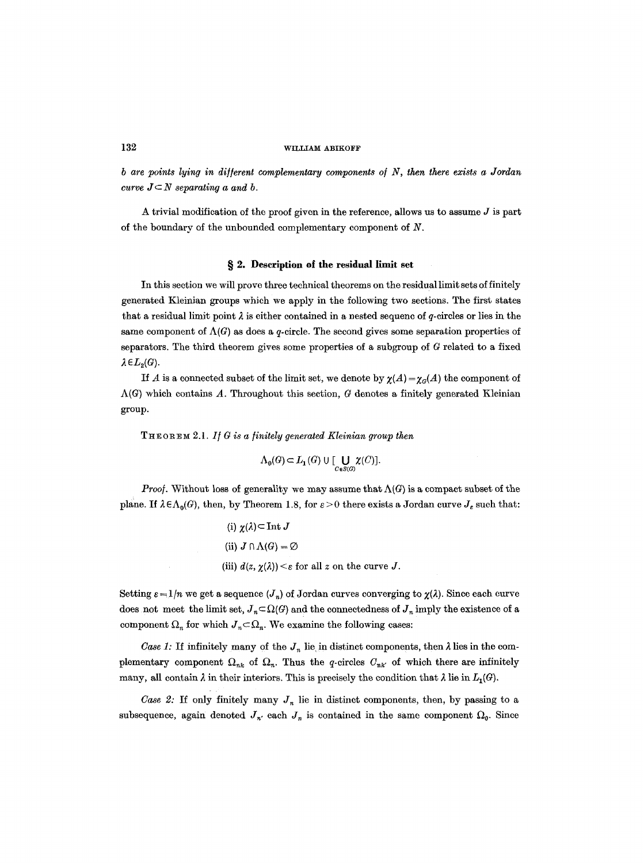*b are points lying in dif/erent complementary components o/N, then there exists a Jordan curve*  $J \subset N$  *separating a and b.* 

A trivial modification of the proof given in the reference, allows us to assume  $J$  is part of the boundary of the unbounded complementary component of  $N$ .

# § 2. Description of the residual limit set

In this section we will prove three technical theorems on the residual limit sets of finitely generated Kleinian groups which we apply in the following two sections. The first states that a residual limit point  $\lambda$  is either contained in a nested sequenc of q-circles or lies in the same component of  $\Lambda(G)$  as does a q-circle. The second gives some separation properties of separators. The third theorem gives some properties of a subgroup of G related to a fixed  $\lambda \in L_{2}(G)$ .

If A is a connected subset of the limit set, we denote by  $\chi(A) = \chi_{\alpha}(A)$  the component of  $\Lambda(G)$  which contains A. Throughout this section, G denotes a finitely generated Kleinian group.

THEOR~ 2.1. *If G is a [initely generated Kleinian group then* 

$$
\Lambda_{0}(G) \subset L_{1}(G) \cup [\bigcup_{C \in S(G)} \chi(C)].
$$

*Proof.* Without loss of generality we may assume that  $\Lambda(G)$  is a compact subset of the plane. If  $\lambda \in \Lambda_0(G)$ , then, by Theorem 1.8, for  $\varepsilon > 0$  there exists a Jordan curve  $J_{\varepsilon}$  such that:

(i) 
$$
\chi(\lambda) \subset \text{Int } J
$$
  
(ii)  $J \cap \Lambda(G) = \emptyset$   
(iii)  $d(z, \chi(\lambda)) \leq \varepsilon$  for all  $z$  on the curve  $J$ .

Setting  $\varepsilon = 1/n$  we get a sequence  $(J_n)$  of Jordan curves converging to  $\chi(\lambda)$ . Since each curve does not meet the limit set,  $J_n \subset \Omega(G)$  and the connectedness of  $J_n$  imply the existence of a component  $\Omega_n$  for which  $J_n \subset \Omega_n$ . We examine the following cases:

*Case 1:* If infinitely many of the  $J_n$  lie in distinct components, then  $\lambda$  lies in the complementary component  $\Omega_{nk}$  of  $\Omega_n$ . Thus the q-circles  $C_{nk'}$  of which there are infinitely many, all contain  $\lambda$  in their interiors. This is precisely the condition that  $\lambda$  lie in  $L_1(G)$ .

*Case 2:* If only finitely many  $J_n$  lie in distinct components, then, by passing to a subsequence, again denoted  $J_{n'}$  each  $J_{n}$  is contained in the same component  $\Omega_{0}$ . Since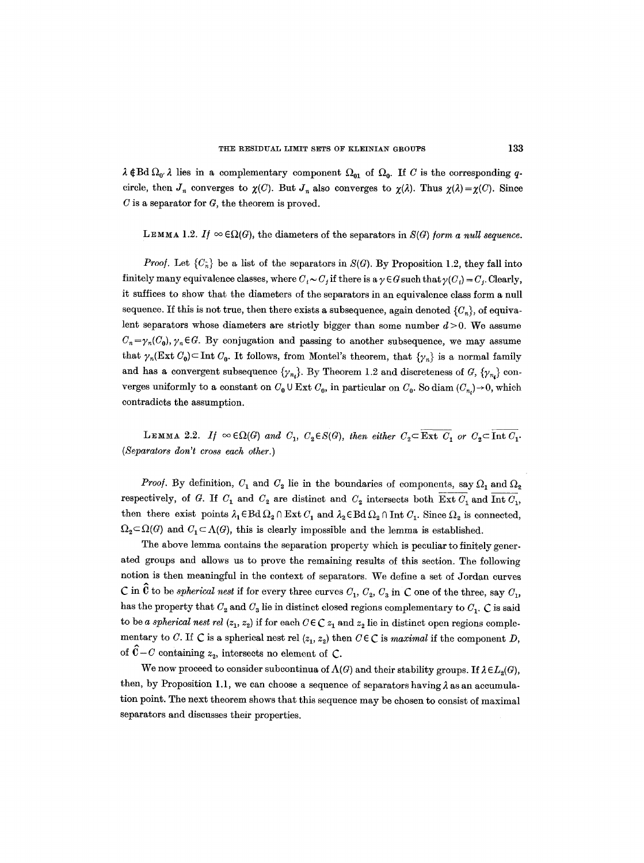$\lambda \notin \text{Bd } \Omega_{0'}$  lies in a complementary component  $\Omega_{01}$  of  $\Omega_{0}$ . If C is the corresponding qcircle, then  $J_n$  converges to  $\chi(C)$ . But  $J_n$  also converges to  $\chi(\lambda)$ . Thus  $\chi(\lambda) = \chi(C)$ . Since  $C$  is a separator for  $G$ , the theorem is proved.

LEMMA 1.2. *If*  $\infty \in \Omega(G)$ , the diameters of the separators in  $S(G)$  *form a null sequence.* 

*Proof.* Let  ${C_{\hat{n}}}$  be a list of the separators in  $S(G)$ . By Proposition 1.2, they fall into finitely many equivalence classes, where  $C_i \sim C_j$  if there is a  $\gamma \in G$  such that  $\gamma(C_i) = C_j$ . Clearly, it suffices to show that the diameters of the separators in an equivalence class form a null sequence. If this is not true, then there exists a subsequence, again denoted  $\{C_n\}$ , of equivalent separators whose diameters are strictly bigger than some number  $d > 0$ . We assume  $C_n = \gamma_n(C_0)$ ,  $\gamma_n \in G$ . By conjugation and passing to another subsequence, we may assume that  $\gamma_n(\text{Ext } C_0) \subset \text{Int } C_0$ . It follows, from Montel's theorem, that  $\{\gamma_n\}$  is a normal family and has a convergent subsequence  $\{\gamma_{n_i}\}\$ . By Theorem 1.2 and discreteness of G,  $\{\gamma_{n_i}\}\$ converges uniformly to a constant on  $C_0 \cup \text{Ext } C_0$ , in particular on  $C_0$ . So diam  $(C_n) \rightarrow 0$ , which contradicts the assumption.

LEMMA 2.2. *If*  $\infty \in \Omega(G)$  *and C<sub>1</sub>*,  $C_2 \in S(G)$ , *then either*  $C_2 \subset \overline{\text{Ext } C_1}$  *or*  $C_2 \subset \overline{\text{Int } C_1}$ *. (Separators don't cross each other.)* 

*Proof.* By definition,  $C_1$  and  $C_2$  lie in the boundaries of components, say  $\Omega_1$  and  $\Omega_2$ respectively, of G. If  $C_1$  and  $C_2$  are distinct and  $C_2$  intersects both Ext  $C_1$  and Int  $C_1$ , then there exist points  $\lambda_1 \in \text{Bd } \Omega_2 \cap \text{Ext } C_1$  and  $\lambda_2 \in \text{Bd } \Omega_2 \cap \text{Int } C_1$ . Since  $\Omega_2$  is connected,  $\Omega_2 \subset \Omega(G)$  and  $C_1 \subset \Lambda(G)$ , this is clearly impossible and the lemma is established.

The above lemma contains the separation property which is peculiar to finitely generated groups and allows us to prove the remaining results of this section. The following notion is then meaningful in the context of separators. We define a set of Jordan curves C in  $\hat{\mathbf{C}}$  to be *spherical nest* if for every three curves  $C_1$ ,  $C_2$ ,  $C_3$  in C one of the three, say  $C_1$ , has the property that  $C_2$  and  $C_3$  lie in distinct closed regions complementary to  $C_1$ .  $C$  is said to be *a spherical nest rel*  $(z_1, z_2)$  if for each  $C \in \mathbb{C} z_1$  and  $z_2$  lie in distinct open regions complementary to C. If C is a spherical nest rel  $(z_1, z_2)$  then  $C \in \mathbb{C}$  is *maximal* if the component D, of  $C-C$  containing  $z_2$ , intersects no element of C.

We now proceed to consider subcontinua of  $\Lambda(G)$  and their stability groups. If  $\lambda \in L_2(G)$ , then, by Proposition 1.1, we can choose a sequence of separators having  $\lambda$  as an accumulation point. The next theorem shows that this sequence may be chosen to consist of maximal separators and discusses their properties.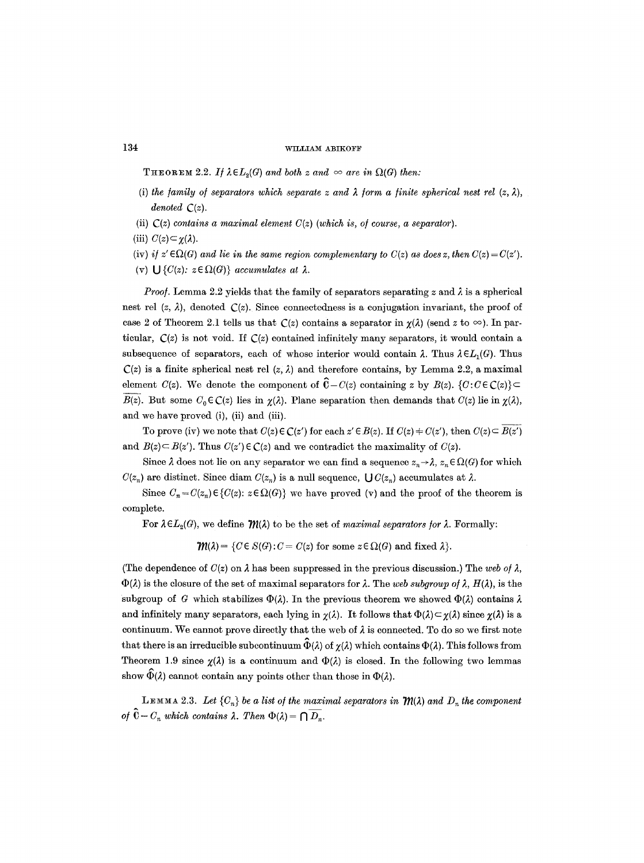**THEOREM** 2.2. *If*  $\lambda \in L_2(G)$  and both z and  $\infty$  are in  $\Omega(G)$  then:

- (i) the family of separators which separate z and  $\lambda$  form a finite spherical nest rel  $(z, \lambda)$ , *denoted C(z).*
- (ii)  $C(z)$  contains a maximal element  $C(z)$  (which is, of course, a separator).
- (iii)  $C(z) \subset \gamma(\lambda)$ .
- (iv) *if*  $z' \in \Omega(G)$  and lie in the same region complementary to  $C(z)$  as does z, then  $C(z) = C(z')$ .
- (v)  $\bigcup \{C(z): z \in \Omega(G)\}\$  *accumulates at*  $\lambda$ *.*

*Proof.* Lemma 2.2 yields that the family of separators separating z and  $\lambda$  is a spherical nest rel  $(z, \lambda)$ , denoted  $\mathcal{C}(z)$ . Since connectedness is a conjugation invariant, the proof of case 2 of Theorem 2.1 tells us that  $C(z)$  contains a separator in  $\chi(\lambda)$  (send z to  $\infty$ ). In particular,  $C(z)$  is not void. If  $C(z)$  contained infinitely many separators, it would contain a subsequence of separators, each of whose interior would contain  $\lambda$ . Thus  $\lambda \in L_1(G)$ . Thus  $C(z)$  is a finite spherical nest rel  $(z, \lambda)$  and therefore contains, by Lemma 2.2, a maximal element *C(z)*. We denote the component of  $\hat{C} - C(z)$  containing z by  $B(z)$ .  $\{C : C \in C(z)\} \subset$ *B(z).* But some  $C_0 \in \mathbb{C}(z)$  lies in  $\chi(\lambda)$ . Plane separation then demands that  $C(z)$  lie in  $\chi(\lambda)$ , and we have proved (i), (ii) and (iii).

To prove (iv) we note that  $C(z) \in C(z')$  for each  $z' \in B(z)$ . If  $C(z) \neq C(z')$ , then  $C(z) \subset B(z')$ and  $B(z) \subset B(z')$ . Thus  $C(z') \in C(z)$  and we contradict the maximality of  $C(z)$ .

Since  $\lambda$  does not lie on any separator we can find a sequence  $z_n \to \lambda$ ,  $z_n \in \Omega(G)$  for which  $C(z_n)$  are distinct. Since diam  $C(z_n)$  is a null sequence,  $\bigcup C(z_n)$  accumulates at  $\lambda$ .

Since  $C_n = C(z_n) \in \{C(z): z \in \Omega(G)\}\$  we have proved (v) and the proof of the theorem is complete.

For  $\lambda \in L_2(G)$ , we define  $\mathcal{M}(\lambda)$  to be the set of *maximal separators for*  $\lambda$ . Formally:

 $\mathcal{W}(\lambda) = \{C \in S(G) : C = C(z) \text{ for some } z \in \Omega(G) \text{ and fixed } \lambda\}.$ 

(The dependence of  $C(z)$  on  $\lambda$  has been suppressed in the previous discussion.) The web of  $\lambda$ ,  $\Phi(\lambda)$  is the closure of the set of maximal separators for  $\lambda$ . The *web subgroup of*  $\lambda$ ,  $H(\lambda)$ , is the subgroup of G which stabilizes  $\Phi(\lambda)$ . In the previous theorem we showed  $\Phi(\lambda)$  contains  $\lambda$ and infinitely many separators, each lying in  $\chi(\lambda)$ . It follows that  $\Phi(\lambda) \subset \chi(\lambda)$  since  $\chi(\lambda)$  is a continuum. We cannot prove directly that the web of  $\lambda$  is connected. To do so we first note that there is an irreducible subcontinuum  $\hat{\Phi}(\lambda)$  of  $\chi(\lambda)$  which contains  $\Phi(\lambda)$ . This follows from Theorem 1.9 since  $\chi(\lambda)$  is a continuum and  $\Phi(\lambda)$  is closed. In the following two lemmas show  $\widehat{\Phi}(\lambda)$  cannot contain any points other than those in  $\Phi(\lambda)$ .

LEMMA 2.3. Let  ${C_n}$  be a list of the maximal separators in  $\mathcal{M}(\lambda)$  and  $D_n$  the component *of*  $\hat{\mathbf{C}}$  –  $C_n$  which contains  $\lambda$ . Then  $\Phi(\lambda) = \bigcap \overline{D_n}$ .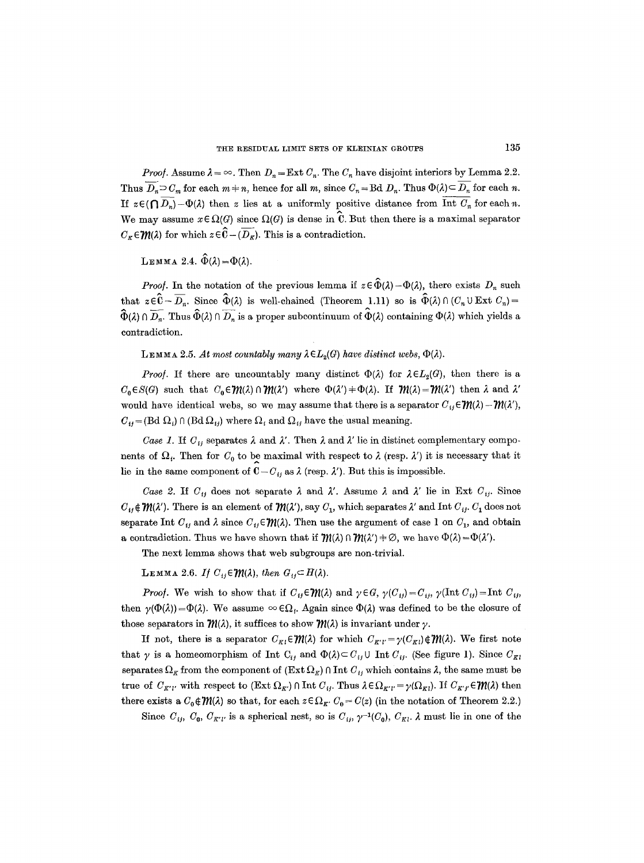*Proof.* Assume  $\lambda = \infty$ . Then  $D_n = \text{Ext } C_n$ . The  $C_n$  have disjoint interiors by Lemma 2.2. Thus  $\overline{D_n} \supset C_m$  for each  $m+n$ , hence for all m, since  $C_n = \text{Bd } D_n$ . Thus  $\Phi(\lambda) \subseteq \overline{D_n}$  for each n. If  $z \in (\bigcap \overline{D_n} - \Phi(\lambda))$  then z lies at a uniformly positive distance from  $\overline{\text{Int } C_n}$  for each n. We may assume  $x \in \Omega(G)$  since  $\Omega(G)$  is dense in C. But then there is a maximal separator  $C_{\kappa} \in \mathcal{W}(\lambda)$  for which  $z \in \widehat{\mathbb{C}} - (\overline{D_{\kappa}})$ . This is a contradiction.

LEMMA 2.4.  $\hat{\Phi}(\lambda) = \Phi(\lambda)$ .

*Proof.* In the notation of the previous lemma if  $z \in \hat{\Phi}(\lambda) - \Phi(\lambda)$ , there exists  $D_n$  such that  $z\in\hat{C}-\overline{D_n}$ . Since  $\hat{\Phi}(\lambda)$  is well-chained (Theorem 1.11) so is  $\hat{\Phi}(\lambda)\cap(C_n\cup \text{Ext }C_n)=$  $\widehat{\Phi}(\lambda) \cap \overline{D_n}$ . Thus  $\widehat{\Phi}(\lambda) \cap \overline{D_n}$  is a proper subcontinuum of  $\widehat{\Phi}(\lambda)$  containing  $\Phi(\lambda)$  which yields a contradiction.

LEMMA 2.5. At most countably many  $\lambda \in L_2(G)$  have distinct webs,  $\Phi(\lambda)$ .

*Proof.* If there are uncountably many distinct  $\Phi(\lambda)$  for  $\lambda \in L_2(G)$ , then there is a  $C_0 \in S(G)$  such that  $C_0 \in \mathcal{W}(\lambda) \cap \mathcal{W}(\lambda')$  where  $\Phi(\lambda') + \Phi(\lambda)$ . If  $\mathcal{W}(\lambda) = \mathcal{W}(\lambda')$  then  $\lambda$  and  $\lambda'$ would have identical webs, so we may assume that there is a separator  $C_{ij} \in \mathcal{W}(\lambda) - \mathcal{W}(\lambda')$ ,  $C_{ij} = (Bd \Omega_i) \cap (Bd \Omega_{ij})$  where  $\Omega_i$  and  $\Omega_{ij}$  have the usual meaning.

*Case 1.* If  $C_{ij}$  separates  $\lambda$  and  $\lambda'$ . Then  $\lambda$  and  $\lambda'$  lie in distinct complementary components of  $\Omega_i$ . Then for  $C_0$  to be maximal with respect to  $\lambda$  (resp.  $\lambda'$ ) it is necessary that it A lie in the same component of  $C - C_{ij}$  as  $\lambda$  (resp.  $\lambda'$ ). But this is impossible.

*Case 2.* If  $C_{ij}$  does not separate  $\lambda$  and  $\lambda'$ . Assume  $\lambda$  and  $\lambda'$  lie in Ext  $C_{ij}$ . Since  $C_{ij} \notin \mathcal{M}(\lambda')$ . There is an element of  $\mathcal{M}(\lambda')$ , say  $C_1$ , which separates  $\lambda'$  and Int  $C_{ij}$ .  $C_1$  does not separate Int  $C_{ij}$  and  $\lambda$  since  $C_{ij} \in \mathcal{W}(\lambda)$ . Then use the argument of case 1 on  $C_1$ , and obtain a contradiction. Thus we have shown that if  ${\cal W}(\lambda) \cap {\cal W}(\lambda') = \emptyset$ , we have  $\Phi(\lambda) = \Phi(\lambda')$ .

The next lemma shows that web subgroups are non-trivial.

LEMMA 2.6. If  $C_{ij} \in \mathcal{W}(\lambda)$ , then  $G_{ij} \subset H(\lambda)$ .

*Proof.* We wish to show that if  $C_{ij} \in \mathcal{W}(\lambda)$  and  $\gamma \in G$ ,  $\gamma(C_{ij}) = C_{ij}$ ,  $\gamma(\text{Int } C_{ij}) = \text{Int } C_{ij}$ , then  $\gamma(\Phi(\lambda)) = \Phi(\lambda)$ . We assume  $\infty \in \Omega_i$ . Again since  $\Phi(\lambda)$  was defined to be the closure of those separators in  $\mathcal{M}(\lambda)$ , it suffices to show  $\mathcal{M}(\lambda)$  is invariant under  $\gamma$ .

If not, there is a separator  $C_{K} \in \mathcal{W}(\lambda)$  for which  $C_{K'} = \gamma(C_{K}) \notin \mathcal{W}(\lambda)$ . We first note that  $\gamma$  is a homeomorphism of Int  $C_{ij}$  and  $\Phi(\lambda) \subset C_{ij} \cup$  Int  $C_{ij}$ . (See figure 1). Since  $C_{\kappa i}$ separates  $\Omega_K$  from the component of  $(Ext \Omega_K) \cap Int \mathcal{C}_{ij}$  which contains  $\lambda$ , the same must be true of  $C_{K'l'}$  with respect to  $(\text{Ext }\Omega_{K'}) \cap \text{Int } C_{ij}$ . Thus  $\lambda \in \Omega_{K'l'} = \gamma(\Omega_{Kl})$ . If  $C_{K'l'} \in \mathcal{W}(\lambda)$  then there exists a  $C_0 \notin \mathcal{W}(\lambda)$  so that, for each  $z \in \Omega_K$ ,  $C_0 = C(z)$  (in the notation of Theorem 2.2.)

Since  $C_{ij}$ ,  $C_0$ ,  $C_{K'l'}$  is a spherical nest, so is  $C_{ij}$ ,  $\gamma^{-1}(C_0)$ ,  $C_{Kl'}$ .  $\lambda$  must lie in one of the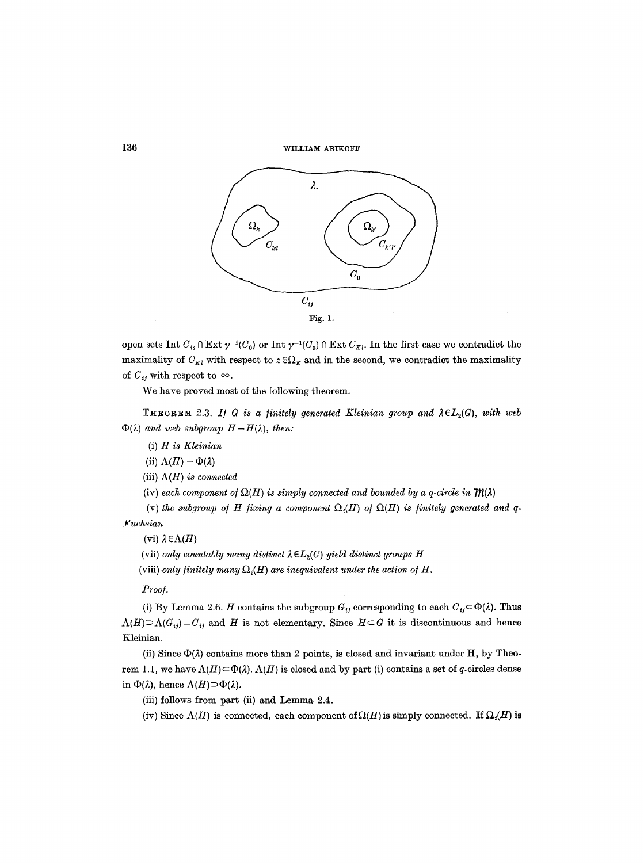

open sets Int  $C_{ij} \cap \text{Ext } \gamma^{-1}(C_0)$  or Int  $\gamma^{-1}(C_0) \cap \text{Ext } C_{K}$ . In the first case we contradict the maximality of  $C_{Kl}$  with respect to  $z \in \Omega_K$  and in the second, we contradict the maximality of  $C_{ij}$  with respect to  $\infty$ .

We have proved most of the following theorem.

THEOREM 2.3. If G is a finitely generated Kleinian group and  $\lambda \in L_2(G)$ , with web  $\Phi(\lambda)$  and web subgroup  $H=H(\lambda)$ , *then:* 

- (i) *H is Kleinian*
- (ii)  $\Lambda(H) = \Phi(\lambda)$
- (iii)  $\Lambda(H)$  *is connected*
- (iv) each component of  $\Omega(H)$  is simply connected and bounded by a q-circle in  $\mathcal{M}(\lambda)$

(v) the subgroup of H fixing a component  $\Omega_i(H)$  of  $\Omega(H)$  is finitely generated and q-*.Fuchsian* 

(vi)  $\lambda \in \Lambda(H)$ 

(vii) *only countably many distinct*  $\lambda \in L_2(G)$  *yield distinct groups H* 

(viii) only *finitely many*  $\Omega_i(H)$  are *inequivalent under the action of H*.

# *Proof.*

(i) By Lemma 2.6. H contains the subgroup  $G_{ij}$  corresponding to each  $C_{ij} \subset \Phi(\lambda)$ . Thus  $\Lambda(H) \supset \Lambda(G_{ij}) = C_{ij}$  and H is not elementary. Since  $H \subset G$  it is discontinuous and hence Kleinian.

(ii) Since  $\Phi(\lambda)$  contains more than 2 points, is closed and invariant under H, by Theorem 1.1, we have  $\Lambda(H) \subset \Phi(\lambda)$ .  $\Lambda(H)$  is closed and by part (i) contains a set of q-circles dense in  $\Phi(\lambda)$ , hence  $\Lambda(H) \supset \Phi(\lambda)$ .

(iii) follows from part (ii) and Lemma 2.4.

(iv) Since  $\Lambda(H)$  is connected, each component of  $\Omega(H)$  is simply connected. If  $\Omega(H)$  is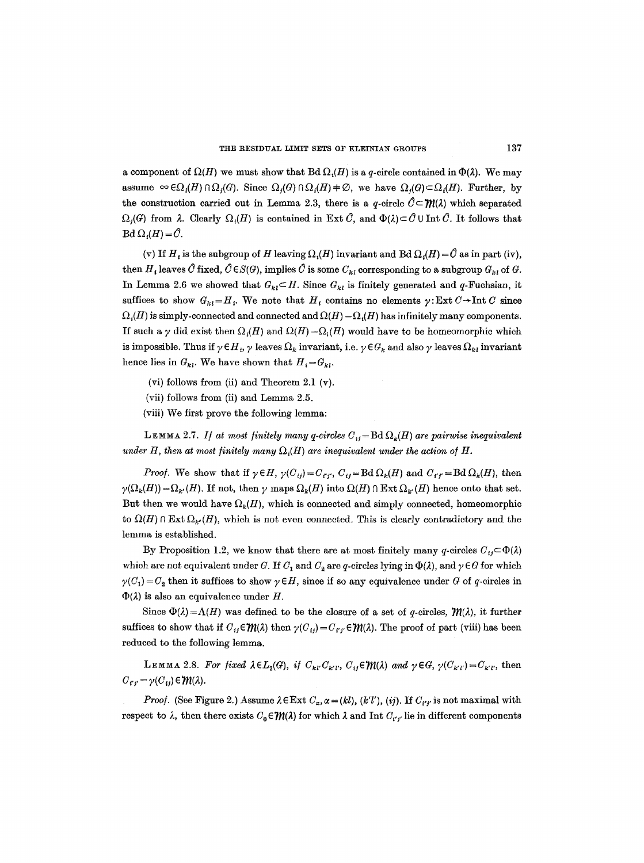a component of  $\Omega(H)$  we must show that Bd  $\Omega_i(H)$  is a q-circle contained in  $\Phi(\lambda)$ . We may assume  $\infty \in \Omega_i(H) \cap \Omega_i(G)$ . Since  $\Omega_i(G) \cap \Omega_i(H) \neq \emptyset$ , we have  $\Omega_i(G) \subset \Omega_i(H)$ . Further, by the construction carried out in Lemma 2.3, there is a q-circle  $\hat{C} \subset \mathcal{M}(\lambda)$  which separated  $\Omega_i(G)$  from  $\lambda$ . Clearly  $\Omega_i(H)$  is contained in Ext  $\hat{C}$ , and  $\Phi(\lambda) \subset \hat{C}$  U Int  $\hat{C}$ . It follows that  $Bd \Omega_i(H) = \hat{C}.$ 

(v) If  $H_t$  is the subgroup of H leaving  $\Omega_t(H)$  invariant and Bd  $\Omega_t(H) = \hat{C}$  as in part (iv), then  $H_i$  leaves  $\hat{C}$  fixed,  $\hat{C} \in S(G)$ , implies  $\hat{C}$  is some  $C_{ki}$  corresponding to a subgroup  $G_{ki}$  of  $G$ . In Lemma 2.6 we showed that  $G_{kl} \subset H$ . Since  $G_{kl}$  is finitely generated and q-Fuchsian, it suffices to show  $G_{kl}=H_i$ . We note that  $H_i$  contains no elements  $\gamma: \text{Ext } C \to \text{Int } C$  since  $\Omega_i(H)$  is simply-connected and connected and  $\Omega(H) - \Omega_i(H)$  has infinitely many components. If such a y did exist then  $\Omega_i(H)$  and  $\Omega(H) - \Omega_i(H)$  would have to be homeomorphic which is impossible. Thus if  $\gamma \in H_i$ ,  $\gamma$  leaves  $\Omega_k$  invariant, i.e.  $\gamma \in G_k$  and also  $\gamma$  leaves  $\Omega_{kl}$  invariant hence lies in  $G_{kl}$ . We have shown that  $H_i = G_{kl}$ .

- (vi) follows from (ii) and Theorem 2.1  $(v)$ .
- (vii) follows from (ii) and Lemma 2.5.
- (viii) We first prove the following lemma:

LEMMA 2.7. If at most finitely many q-circles  $C_{ij} = \text{Bd} \Omega_k(H)$  are pairwise inequivalent *under H, then at most finitely many*  $\Omega_i(H)$  are inequivalent under the action of H.

*Proof.* We show that if  $\gamma \in H$ ,  $\gamma(C_{ij}) = C_{i'j'}$ ,  $C_{ij} = \text{Bd} \Omega_k(H)$  and  $C_{i'j'} = \text{Bd} \Omega_k(H)$ , then  $\gamma(\Omega_k(H)) = \Omega_{k'}(H)$ . If not, then  $\gamma$  maps  $\Omega_k(H)$  into  $\Omega(H) \cap \text{Ext }\Omega_{k'}(H)$  hence onto that set. But then we would have  $\Omega_k(H)$ , which is connected and simply connected, homeomorphic to  $\Omega(H) \cap \text{Ext} \Omega_{k'}(H)$ , which is not even connected. This is clearly contradictory and the lemma is established.

By Proposition 1.2, we know that there are at most finitely many q-circles  $C_{ij} \subset \Phi(\lambda)$ which are not equivalent under G. If  $C_1$  and  $C_2$  are q-circles lying in  $\Phi(\lambda)$ , and  $\gamma \in G$  for which  $\gamma(C_1) = C_2$  then it suffices to show  $\gamma \in H$ , since if so any equivalence under G of q-circles in  $\Phi(\lambda)$  is also an equivalence under H.

Since  $\Phi(\lambda) = \Lambda(H)$  was defined to be the closure of a set of q-circles,  $\mathcal{W}(\lambda)$ , it further suffices to show that if  $C_{ij} \in \mathcal{W}(\lambda)$  then  $\gamma(C_{ij}) = C_{i'j'} \in \mathcal{W}(\lambda)$ . The proof of part (viii) has been reduced to the following lemma.

*LEMMA 2.8. For fixed*  $\lambda \in L_2(G)$ *, if*  $C_{kl}C_{kl}$ ,  $C_{kl} \in \mathcal{W}(\lambda)$  *and*  $\gamma \in G$ ,  $\gamma(C_{k'l'})=C_{k'l'}$ , then  $C_{i'i'} = \gamma(C_{ii}) \in \mathcal{W}(\lambda).$ 

*Proof.* (See Figure 2.) Assume  $\lambda \in \text{Ext } C_{\alpha}, \alpha = (kl)$ ,  $(k'l')$ ,  $(ij)$ . If  $C_{i'i'}$  is not maximal with respect to  $\lambda$ , then there exists  $C_0 \in \mathcal{W}(\lambda)$  for which  $\lambda$  and Int  $C_{i'j'}$  lie in different components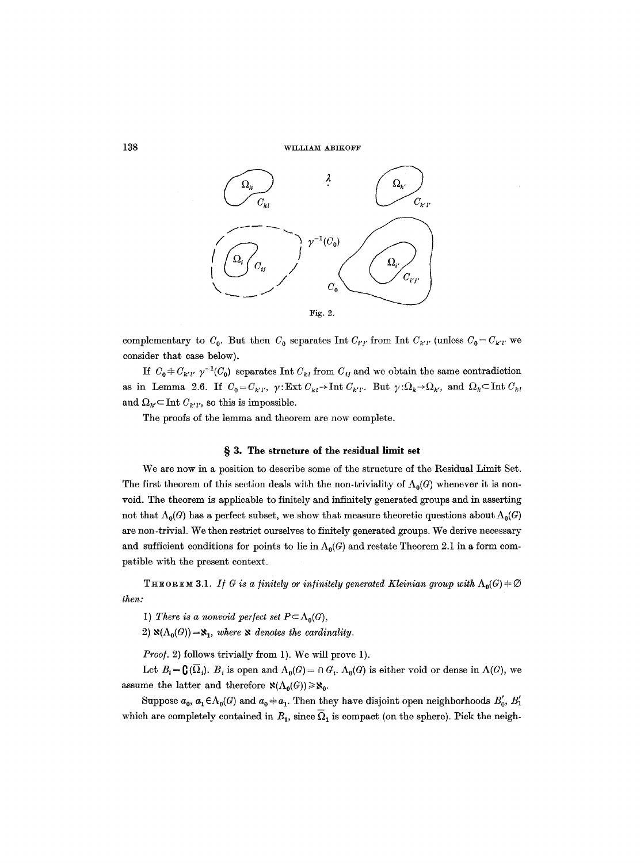

complementary to  $C_0$ . But then  $C_0$  separates Int  $C_{i'j'}$  from Int  $C_{k'l'}$  (unless  $C_0 = C_{k'l'}$  we consider that case below),

If  $C_0 + C_{k'l'} \gamma^{-1}(C_0)$  separates Int  $C_{kl}$  from  $C_{ij}$  and we obtain the same contradiction as in Lemma 2.6. If  $C_0 = C_{k'l'}$ ,  $\gamma: \text{Ext } C_{kl} \to \text{Int } C_{k'l'}$ . But  $\gamma: \Omega_k \to \Omega_{k'}$ , and  $\Omega_k \subseteq \text{Int } C_{kl}$ and  $\Omega_{k'} \subset \text{Int } C_{k'l'}$ , so this is impossible.

The proofs of the lemma and theorem are now complete.

#### **w 3. The structure of the residual limit set**

We are now in a position to describe some of the structure of the Residual Limit Set. The first theorem of this section deals with the non-triviality of  $\Lambda_0(G)$  whenever it is nonvoid. The theorem is applicable to finitely and infinitely generated groups and in asserting not that  $\Lambda_0(G)$  has a perfect subset, we show that measure theoretic questions about  $\Lambda_0(G)$ are non-trivial. We then restrict ourselves to finitely generated groups. We derive necessary and sufficient conditions for points to lie in  $\Lambda_0(G)$  and restate Theorem 2.1 in a form compatible with the present context.

**THEOREM 3.1.** If G is a finitely or infinitely generated Kleinian group with  $\Lambda_0(G) \neq \emptyset$ *then:* 

1) *There is a nonvoid perfect set*  $P \subset \Lambda_0(G)$ ,

2)  $\aleph(\Lambda_0(G)) = \aleph_1$ , where  $\aleph$  denotes the cardinality.

*Proo/.* 2) follows trivially from 1). We will prove 1).

Let  $B_i = \mathbf{C}(\overline{\Omega}_i)$ .  $B_i$  is open and  $\Lambda_0(G) = \cap G_i$ .  $\Lambda_0(G)$  is either void or dense in  $\Lambda(G)$ , we assume the latter and therefore  $\aleph(\Lambda_0(G))\geq \aleph_0$ .

Suppose  $a_0$ ,  $a_1 \in \Lambda_0(G)$  and  $a_0 \neq a_1$ . Then they have disjoint open neighborhoods  $B'_0$ ,  $B'_1$ which are completely contained in  $B_1$ , since  $\overline{\Omega}_1$  is compact (on the sphere). Pick the neigh-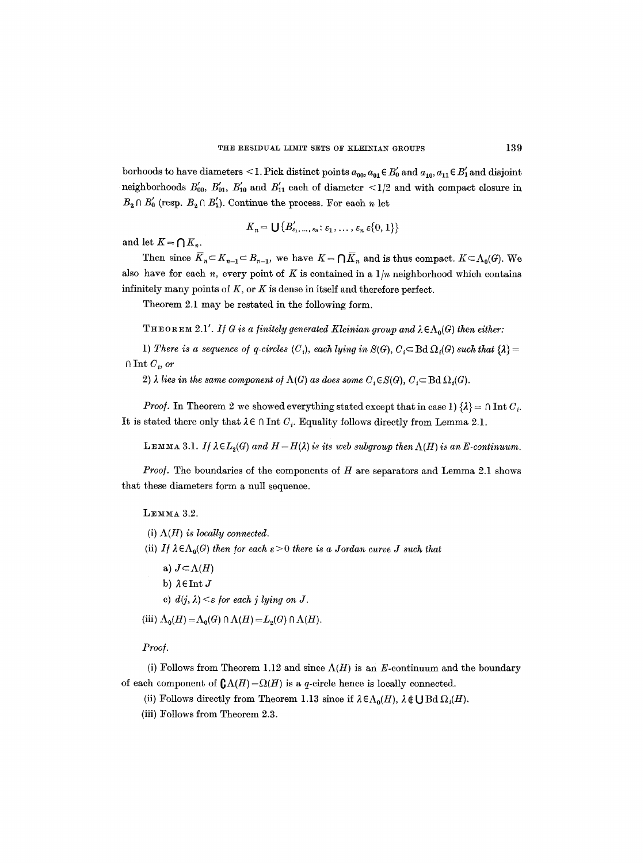borhoods to have diameters <1. Pick distinct points  $a_{00}$ ,  $a_{01} \in B'_0$  and  $a_{10}$ ,  $a_{11} \in B'_1$  and disjoint neighborhoods  $B'_{00}$ ,  $B'_{01}$ ,  $B'_{10}$  and  $B'_{11}$  each of diameter  $\langle 1/2 \rangle$  and with compact closure in  $B_2 \cap B'_0$  (resp.  $B_2 \cap B'_1$ ). Continue the process. For each n let

$$
K_n = \bigcup \{B'_{\epsilon_1,\ldots,\epsilon_n}: \epsilon_1,\ldots,\epsilon_n \epsilon\{0,1\}\}
$$

and let  $K = \bigcap K_n$ .

Then since  $\overline{K}_n \subset K_{n-1} \subset B_{n-1}$ , we have  $K = \bigcap \overline{K}_n$  and is thus compact.  $K \subset \Lambda_0(G)$ . We also have for each n, every point of K is contained in a  $1/n$  neighborhood which contains infinitely many points of  $K$ , or  $K$  is dense in itself and therefore perfect.

Theorem 2.1 may be restated in the following form.

THEOREM 2.1'. *If G is a finitely generated Kleinian group and*  $\lambda \in \Lambda_0(G)$  *then either:* 

1) There is a sequence of q-circles  $(C_i)$ , each lying in  $S(G)$ ,  $C_i \subset B_d \Omega_i(G)$  such that  $\{\lambda\} =$  $\cap$  Int  $C_i$ , or

2)  $\lambda$  lies in the same component of  $\Lambda(G)$  as does some  $C_i \in S(G), C_i \subset \text{Bd}\Omega_i(G)$ .

*Proof.* In Theorem 2 we showed everything stated except that in case 1)  $\{\lambda\} = \cap \text{Int } C_i$ . It is stated there only that  $\lambda \in \Lambda$  Int  $C_i$ . Equality follows directly from Lemma 2.1.

**LEMMA** 3.1. If  $\lambda \in L_2(G)$  and  $H = H(\lambda)$  is its web subgroup then  $\Lambda(H)$  is an E-continuum.

*Proof.* The boundaries of the components of H are separators and Lemma 2.1 shows that these diameters form a null sequence.

 $L$ EMMA 3.2.

- (i)  $\Lambda(H)$  *is locally connected.*
- (ii) If  $\lambda \in \Lambda_0(G)$  *then for each*  $\varepsilon > 0$  *there is a Jordan curve J such that* 
	- a)  $J \subset \Lambda(H)$
	- b)  $\lambda \in$ Int J
	- e)  $d(i, \lambda) \leq \varepsilon$  for each *j* lying on *J*.

(iii)  $\Lambda_0(H) = \Lambda_0(G) \cap \Lambda(H) = L_2(G) \cap \Lambda(H)$ .

*Proo/.* 

(i) Follows from Theorem 1.12 and since  $\Lambda(H)$  is an E-continuum and the boundary of each component of  $\mathbb{C}\Lambda(H) = \Omega(H)$  is a q-circle hence is locally connected.

- (ii) Follows directly from Theorem 1.13 since if  $\lambda \in \Lambda_0(H)$ ,  $\lambda \notin \bigcup$  Bd  $\Omega_i(H)$ .
- (iii) Follows from Theorem 2.3.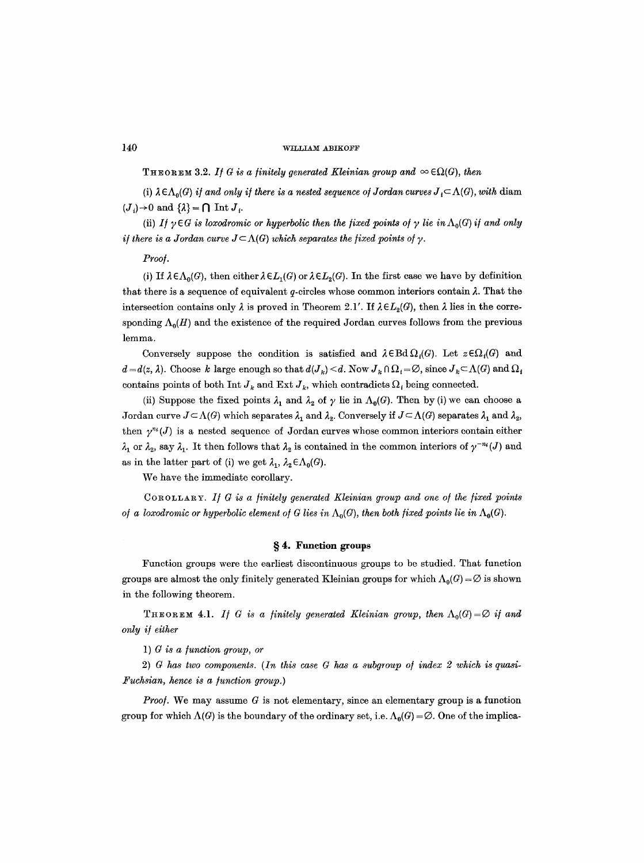**THEOREM 3.2.** *If G is a finitely generated Kleinian group and*  $\infty$   $\epsilon\Omega(G)$ , *then* 

(i)  $\lambda \in \Lambda_0(G)$  *if and only if there is a nested sequence of Jordan curves*  $J_i \subset \Lambda(G)$ , *with* diam  $(J_i) \rightarrow 0$  and  $\{\lambda\} = \bigcap$  Int  $J_i$ .

(ii) *If*  $\gamma \in G$  *is loxodromic or hyperbolic then the fixed points of*  $\gamma$  *lie in*  $\Lambda_0(G)$  *if and only if there is a Jordan curve*  $J \subset \Lambda(G)$  *which separates the fixed points of y.* 

*Proo/.* 

(i) If  $\lambda \in \Lambda_0(G)$ , then either  $\lambda \in L_1(G)$  or  $\lambda \in L_2(G)$ . In the first case we have by definition that there is a sequence of equivalent  $q$ -circles whose common interiors contain  $\lambda$ . That the intersection contains only  $\lambda$  is proved in Theorem 2.1'. If  $\lambda \in L_2(G)$ , then  $\lambda$  lies in the corresponding  $\Lambda_0(H)$  and the existence of the required Jordan curves follows from the previous lemma.

Conversely suppose the condition is satisfied and  $\lambda \in \text{Bd}\Omega_i(G)$ . Let  $z \in \Omega_i(G)$  and  $d = d(z, \lambda)$ . Choose k large enough so that  $d(J_k) \leq d$ . Now  $J_k \cap \Omega_i = \emptyset$ , since  $J_k \subset \Lambda(G)$  and  $\Omega_i$ contains points of both Int  $J_k$  and Ext  $J_k$ , which contradicts  $\Omega_i$  being connected.

(ii) Suppose the fixed points  $\lambda_1$  and  $\lambda_2$  of  $\gamma$  lie in  $\Lambda_0(G)$ . Then by (i) we can choose a Jordan curve  $J \subset \Lambda(G)$  which separates  $\lambda_1$  and  $\lambda_2$ . Conversely if  $J \subset \Lambda(G)$  separates  $\lambda_1$  and  $\lambda_2$ , then  $\gamma^{n_i}(J)$  is a nested sequence of Jordan curves whose common interiors contain either  $\lambda_1$  or  $\lambda_2$ , say  $\lambda_1$ . It then follows that  $\lambda_2$  is contained in the common interiors of  $\gamma^{-n_i}(J)$  and as in the latter part of (i) we get  $\lambda_1$ ,  $\lambda_2 \in \Lambda_0(G)$ .

We have the immediate corollary.

COROLLARY. If G is a finitely generated Kleinian group and one of the fixed points *of a loxodromic or hyperbolic element of G lies in*  $\Lambda_0(G)$ , *then both fixed points lie in*  $\Lambda_0(G)$ .

# **w 4. Function groups**

Function groups were the earliest discontinuous groups to be studied. That function groups are almost the only finitely generated Kleinian groups for which  $\Lambda_0(G) = \emptyset$  is shown in the following theorem.

THEOREM 4.1. *If G is a finitely generated Kleinian group, then*  $\Lambda_0(G) = \emptyset$  *if and only i/either* 

1) *G is a function group, or* 

2) *G has two components. (In this case G has a subgroup of index 2 which is quasi-Fuchsian, hence is a function group.*)

*Proof.* We may assume G is not elementary, since an elementary group is a function group for which  $\Lambda(G)$  is the boundary of the ordinary set, i.e.  $\Lambda_0(G) = \emptyset$ . One of the implica-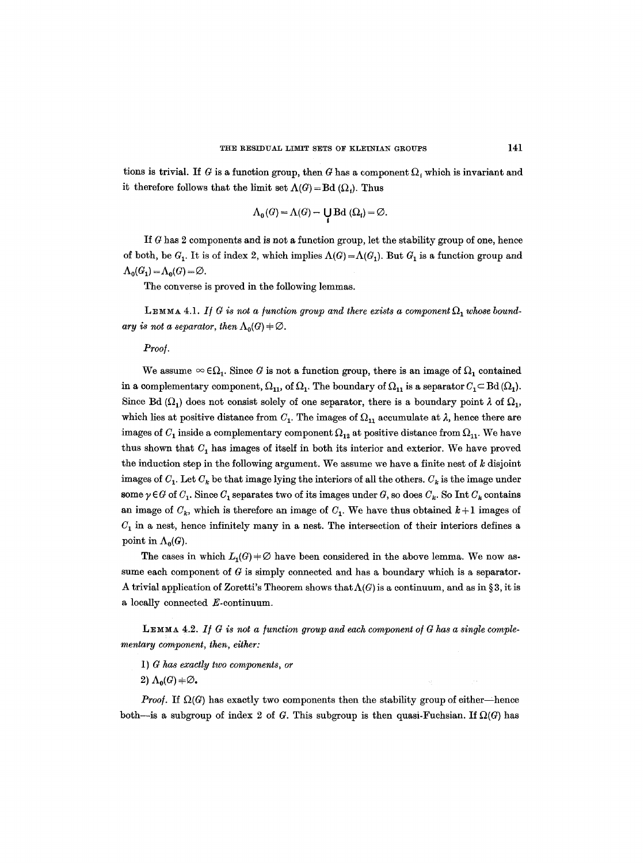tions is trivial. If G is a function group, then G has a component  $\Omega$ , which is invariant and it therefore follows that the limit set  $\Lambda(G) = \text{Bd }(\Omega_i)$ . Thus

$$
\Lambda_{0}(G) = \Lambda(G) - \bigcup_{i} \mathrm{Bd} \;(\Omega_{i}) = \varnothing.
$$

If  $G$  has 2 components and is not a function group, let the stability group of one, hence of both, be  $G_1$ . It is of index 2, which implies  $\Lambda(G) = \Lambda(G_1)$ . But  $G_1$  is a function group and  $\Lambda_0(G_1) = \Lambda_0(G) = \emptyset$ .

The converse is proved in the following lemmas.

LEMMA 4.1. If G is not a function group and there exists a component  $\Omega_1$  whose bound*ary is not a separator, then*  $\Lambda_0(G) + \emptyset$ .

# *Proo/.*

We assume  $\infty \in \Omega_1$ . Since G is not a function group, there is an image of  $\Omega_1$  contained in a complementary component,  $\Omega_{11}$ , of  $\Omega_1$ . The boundary of  $\Omega_{11}$  is a separator  $C_1 \subset \text{Bd }(\Omega_1)$ . Since Bd ( $\Omega_1$ ) does not consist solely of one separator, there is a boundary point  $\lambda$  of  $\Omega_1$ , which lies at positive distance from  $C_1$ . The images of  $\Omega_{11}$  accumulate at  $\lambda$ , hence there are images of  $C_1$  inside a complementary component  $\Omega_{12}$  at positive distance from  $\Omega_{11}$ . We have thus shown that  $C_1$  has images of itself in both its interior and exterior. We have proved the induction step in the following argument. We assume we have a finite nest of  $k$  disjoint images of  $C_1$ . Let  $C_k$  be that image lying the interiors of all the others.  $C_k$  is the image under some  $\gamma \in G$  of  $C_1$ . Since  $C_1$  separates two of its images under G, so does  $C_k$ . So Int  $C_k$  contains an image of  $C_k$ , which is therefore an image of  $C_1$ . We have thus obtained  $k+1$  images of  $C_1$  in a nest, hence infinitely many in a nest. The intersection of their interiors defines a point in  $\Lambda_0(G)$ .

The cases in which  $L_1(G) + \emptyset$  have been considered in the above lemma. We now assume each component of  $G$  is simply connected and has a boundary which is a separator. A trivial application of Zoretti's Theorem shows that  $\Lambda(G)$  is a continuum, and as in § 3, it is a locally connected E-continuum.

**LEMMA 4.2.** If G is not a function group and each component of G has a single comple*mentary component, then, either:* 

- 1) *G has exactly two components, or*
- 2)  $\Lambda_0(G) \neq \emptyset$ .

*Proof.* If  $\Omega(G)$  has exactly two components then the stability group of either-hence both—is a subgroup of index 2 of G. This subgroup is then quasi-Fuchsian. If  $\Omega(G)$  has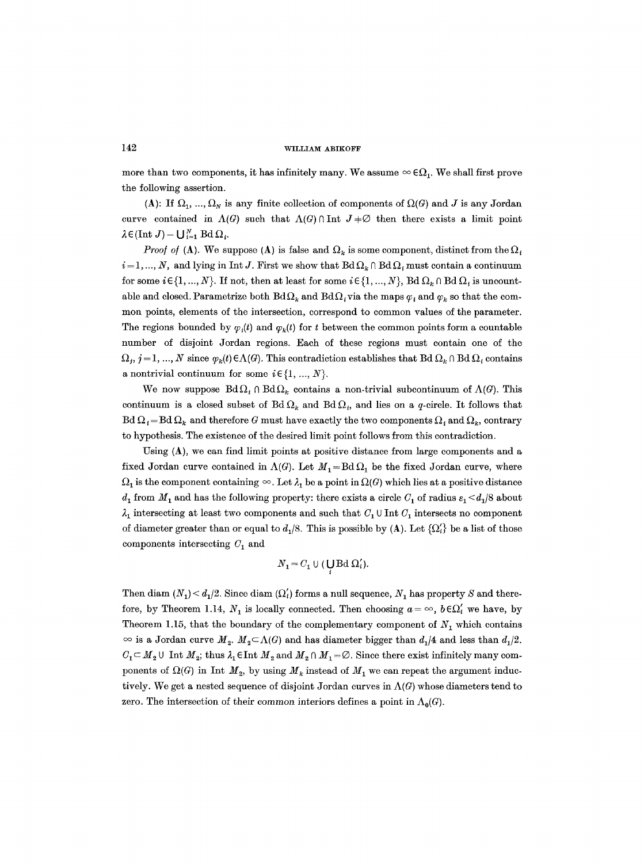more than two components, it has infinitely many. We assume  $\infty \in \Omega_1$ . We shall first prove the following assertion.

(A): If  $\Omega_1, ..., \Omega_N$  is any finite collection of components of  $\Omega(G)$  and J is any Jordan curve contained in  $\Lambda(G)$  such that  $\Lambda(G) \cap \text{Int } J \neq \emptyset$  then there exists a limit point  $\lambda \in (\text{Int } J) - \bigcup_{i=1}^N \text{Bd } \Omega_i.$ 

*Proof of* (A). We suppose (A) is false and  $\Omega_k$  is some component, distinct from the  $\Omega_i$  $i = 1, ..., N$ , and lying in Int J. First we show that  $Bd\Omega_k \cap Bd\Omega_i$  must contain a continuum for some  $i \in \{1, ..., N\}$ . If not, then at least for some  $i \in \{1, ..., N\}$ , Bd  $\Omega_k \cap \text{Bd}\Omega_i$  is uncountable and closed. Parametrize both Bd $\Omega_k$  and Bd $\Omega_i$  via the maps  $\varphi_i$  and  $\varphi_k$  so that the common points, elements of the intersection, correspond to common values of the parameter. The regions bounded by  $\varphi_i(t)$  and  $\varphi_k(t)$  for t between the common points form a countable number of disjoint Jordan regions. Each of these regions must contain one of the  $\Omega_j$ ,  $j = 1, ..., N$  since  $\varphi_k(t) \in \Lambda(G)$ . This contradiction establishes that Bd  $\Omega_k \cap \text{Bd } \Omega_i$  contains a nontrivial continuum for some  $i \in \{1, ..., N\}$ .

We now suppose  $Bd\Omega_i \cap Bd\Omega_k$  contains a non-trivial subcontinuum of  $\Lambda(G)$ . This continuum is a closed subset of Bd  $\Omega_k$  and Bd  $\Omega_i$ , and lies on a q-circle. It follows that  $Bd \Omega_i = Bd \Omega_k$  and therefore G must have exactly the two components  $\Omega_i$  and  $\Omega_k$ , contrary to hypothesis. The existence of the desired limit point follows from this contradiction.

Using  $(A)$ , we can find limit points at positive distance from large components and a fixed Jordan curve contained in  $\Lambda(G)$ . Let  $M_1 = Bd \Omega_1$  be the fixed Jordan curve, where  $\Omega_1$  is the component containing  $\infty$ . Let  $\lambda_1$  be a point in  $\Omega(G)$  which lies at a positive distance  $d_1$  from  $M_1$  and has the following property: there exists a circle  $C_1$  of radius  $\varepsilon_1 < d_1/8$  about  $\lambda_1$  intersecting at least two components and such that  $C_1 \cup \text{Int } C_1$  intersects no component of diameter greater than or equal to  $d_1/8$ . This is possible by (A). Let  $\{\Omega_i'\}$  be a list of those components intersecting  $C_1$  and

$$
N_1 = C_1 \cup (\mathbf{UBd} \Omega_i').
$$

Then diam  $(N_1) < d_1/2$ . Since diam  $(\Omega'_l)$  forms a null sequence,  $N_1$  has property S and therefore, by Theorem 1.14,  $N_1$  is locally connected. Then choosing  $a = \infty$ ,  $b \in \Omega'_i$  we have, by Theorem 1.15, that the boundary of the complementary component of  $N_1$  which contains  $\infty$  is a Jordan curve  $M_2$ .  $M_2 \subset \Lambda(G)$  and has diameter bigger than  $d_1/4$  and less than  $d_1/2$ .  $C_1 \subset M_2 \cup \text{ Int } M_2$ ; thus  $\lambda_1 \in \text{Int } M_2$  and  $M_2 \cap M_1 = \emptyset$ . Since there exist infinitely many components of  $\Omega(G)$  in Int  $M_2$ , by using  $M_k$  instead of  $M_1$  we can repeat the argument inductively. We get a nested sequence of disjoint Jordan curves in  $\Lambda(G)$  whose diameters tend to zero. The intersection of their common interiors defines a point in  $\Lambda_0(G)$ .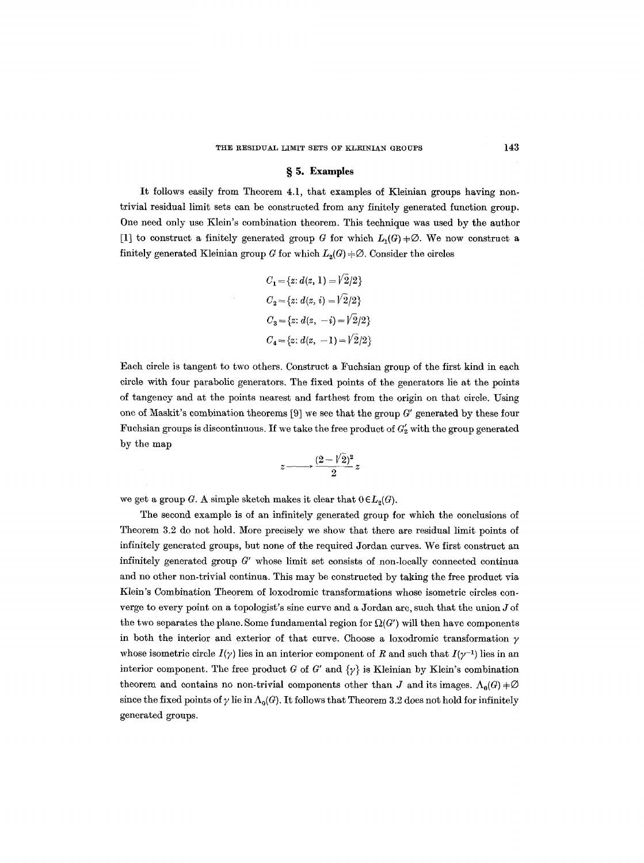#### THE RESIDUAL LIMIT SETS OF KLEINIAN GROUPS 143

# **w 5. Examples**

It follows easily from Theorem 4.1, that examples of Kleinian groups having nontrivial residual limit sets can be constructed from any finitely generated function group, One need only use Klein's combination theorem. This technique was used by the author [1] to construct a finitely generated group G for which  $L_1(G) \neq \emptyset$ . We now construct a finitely generated Kleinian group G for which  $L_2(G) \neq \emptyset$ . Consider the circles

$$
C_1 = \{z: d(z, 1) = V2/2\}
$$
  
\n
$$
C_2 = \{z: d(z, i) = V2/2\}
$$
  
\n
$$
C_3 = \{z: d(z, -i) = V2/2\}
$$
  
\n
$$
C_4 = \{z: d(z, -1) = V2/2\}
$$

Each circle is tangent to two others. Construct a Fuchsian group of the first kind in each circle with four parabolic generators. The fixed points of the generators lie at the points of tangency and at the points nearest and farthest from the origin on that circle. Using one of Maskit's combination theorems [9] we see that the group G' generated by these four Fuchsian groups is discontinuous. If we take the free product of  $G'_{2}$  with the group generated by the map

$$
z \longrightarrow \frac{(2-\sqrt{2})^2}{2}z
$$

we get a group G. A simple sketch makes it clear that  $0 \in L_2(G)$ .

The second example is of an infinitely generated group for which the conclusions of Theorem 3.2 do not hold. More precisely we show that there are residual limit points of infinitely generated groups, but none of the required Jordan curves. We first construct an infinitely generated group *G'* whose limit set consists of non-locally connected continua and no other non-trivial continua. This may be constructed by taking the free product via Klein's Combination Theorem of loxodromie transformations whose isometric circles converge to every point on a topologist's sine curve and a Jordan arc, such that the union  $J$  of the two separates the plane. Some fundamental region for  $\Omega(G')$  will then have components in both the interior and exterior of that curve. Choose a loxodromic transformation  $\gamma$ whose isometric circle  $I(\gamma)$  lies in an interior component of R and such that  $I(\gamma^{-1})$  lies in an interior component. The free product G of G' and  $\{\gamma\}$  is Kleinian by Klein's combination theorem and contains no non-trivial components other than J and its images.  $\Lambda_0(G) \neq \emptyset$ since the fixed points of  $\gamma$  lie in  $\Lambda_0(G)$ . It follows that Theorem 3.2 does not hold for infinitely generated groups.